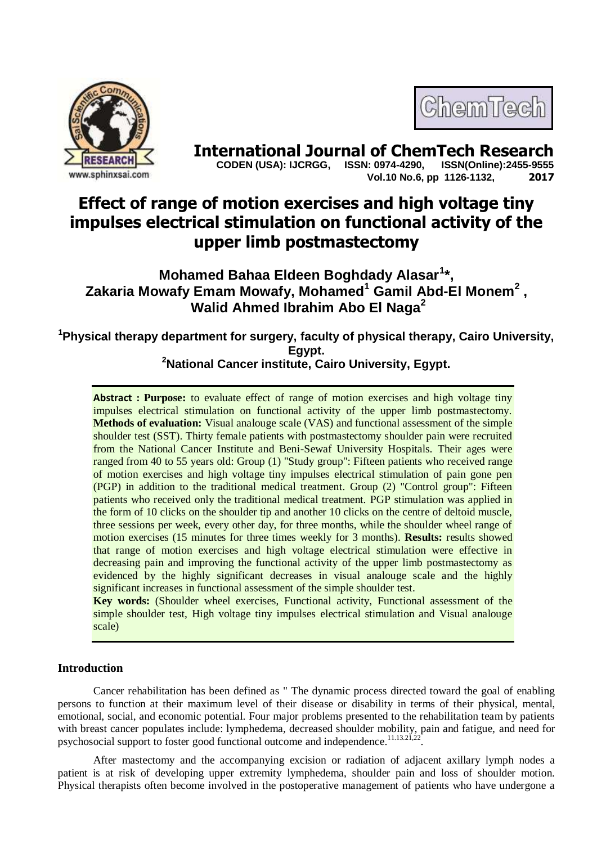



**International Journal of ChemTech Research**<br>CODEN (USA): IJCRGG. ISSN: 0974-4290. ISSN(Online):2455-9555  **CODEN (USA): IJCRGG, ISSN: 0974-4290, Vol.10 No.6, pp 1126-1132, 2017**

# **Effect of range of motion exercises and high voltage tiny impulses electrical stimulation on functional activity of the upper limb postmastectomy**

**Mohamed Bahaa Eldeen Boghdady Alasar<sup>1</sup> \*, Zakaria Mowafy Emam Mowafy, Mohamed<sup>1</sup> Gamil Abd-El Monem<sup>2</sup> , Walid Ahmed Ibrahim Abo El Naga<sup>2</sup>**

**<sup>1</sup>Physical therapy department for surgery, faculty of physical therapy, Cairo University, Egypt. <sup>2</sup>National Cancer institute, Cairo University, Egypt.**

**Abstract** : Purpose: to evaluate effect of range of motion exercises and high voltage tiny impulses electrical stimulation on functional activity of the upper limb postmastectomy. **Methods of evaluation:** Visual analouge scale (VAS) and functional assessment of the simple shoulder test (SST). Thirty female patients with postmastectomy shoulder pain were recruited from the National Cancer Institute and Beni-Sewaf University Hospitals. Their ages were ranged from 40 to 55 years old: Group (1) "Study group": Fifteen patients who received range of motion exercises and high voltage tiny impulses electrical stimulation of pain gone pen (PGP) in addition to the traditional medical treatment. Group (2) "Control group": Fifteen patients who received only the traditional medical treatment. PGP stimulation was applied in the form of 10 clicks on the shoulder tip and another 10 clicks on the centre of deltoid muscle, three sessions per week, every other day, for three months, while the shoulder wheel range of motion exercises (15 minutes for three times weekly for 3 months). **Results:** results showed that range of motion exercises and high voltage electrical stimulation were effective in decreasing pain and improving the functional activity of the upper limb postmastectomy as evidenced by the highly significant decreases in visual analouge scale and the highly significant increases in functional assessment of the simple shoulder test.

**Key words:** (Shoulder wheel exercises, Functional activity, Functional assessment of the simple shoulder test, High voltage tiny impulses electrical stimulation and Visual analouge scale)

# **Introduction**

Cancer rehabilitation has been defined as " The dynamic process directed toward the goal of enabling persons to function at their maximum level of their disease or disability in terms of their physical, mental, emotional, social, and economic potential. Four major problems presented to the rehabilitation team by patients with breast cancer populates include: lymphedema, decreased shoulder mobility, pain and fatigue, and need for psychosocial support to foster good functional outcome and independence.<sup>11.13.21</sup>,22 .

After mastectomy and the accompanying excision or radiation of adjacent axillary lymph nodes a patient is at risk of developing upper extremity lymphedema, shoulder pain and loss of shoulder motion. Physical therapists often become involved in the postoperative management of patients who have undergone a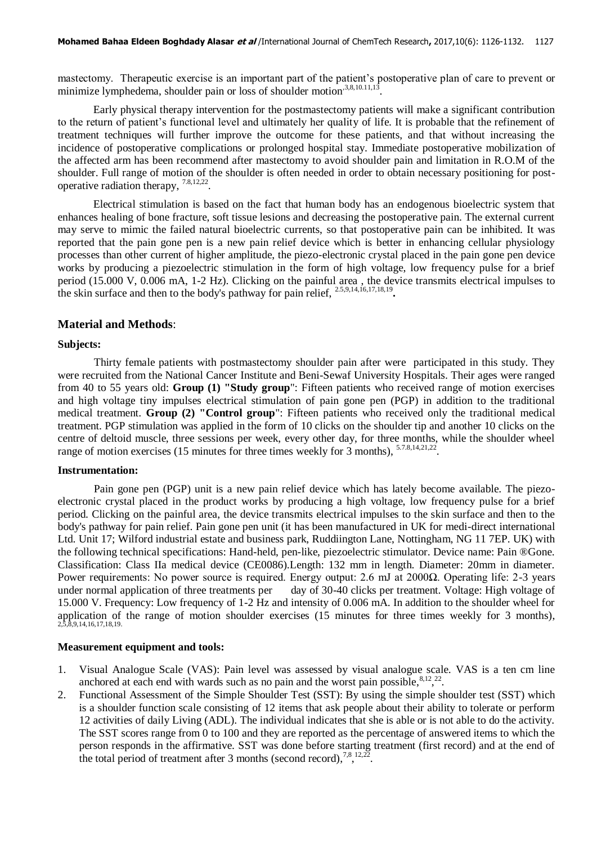mastectomy. Therapeutic exercise is an important part of the patient's postoperative plan of care to prevent or minimize lymphedema, shoulder pain or loss of shoulder motion<sup>,3,8,10.11,13</sup>.

Early physical therapy intervention for the postmastectomy patients will make a significant contribution to the return of patient's functional level and ultimately her quality of life. It is probable that the refinement of treatment techniques will further improve the outcome for these patients, and that without increasing the incidence of postoperative complications or prolonged hospital stay. Immediate postoperative mobilization of the affected arm has been recommend after mastectomy to avoid shoulder pain and limitation in R.O.M of the shoulder. Full range of motion of the shoulder is often needed in order to obtain necessary positioning for postoperative radiation therapy, 7.8,12,22 .

Electrical stimulation is based on the fact that human body has an endogenous bioelectric system that enhances healing of bone fracture, soft tissue lesions and decreasing the postoperative pain. The external current may serve to mimic the failed natural bioelectric currents, so that postoperative pain can be inhibited. It was reported that the pain gone pen is a new pain relief device which is better in enhancing cellular physiology processes than other current of higher amplitude, the piezo-electronic crystal placed in the pain gone pen device works by producing a piezoelectric stimulation in the form of high voltage, low frequency pulse for a brief period (15.000 V, 0.006 mA, 1-2 Hz). Clicking on the painful area , the device transmits electrical impulses to the skin surface and then to the body's pathway for pain relief, 2.5,9,14,16,17,18,19 **.**

## **Material and Methods**:

#### **Subjects:**

Thirty female patients with postmastectomy shoulder pain after were participated in this study. They were recruited from the National Cancer Institute and Beni-Sewaf University Hospitals. Their ages were ranged from 40 to 55 years old: **Group (1) "Study group**": Fifteen patients who received range of motion exercises and high voltage tiny impulses electrical stimulation of pain gone pen (PGP) in addition to the traditional medical treatment. **Group (2) "Control group**": Fifteen patients who received only the traditional medical treatment. PGP stimulation was applied in the form of 10 clicks on the shoulder tip and another 10 clicks on the centre of deltoid muscle, three sessions per week, every other day, for three months, while the shoulder wheel range of motion exercises (15 minutes for three times weekly for 3 months), <sup>5.7.8,14,21,22</sup>.

#### **Instrumentation:**

Pain gone pen (PGP) unit is a new pain relief device which has lately become available. The piezoelectronic crystal placed in the product works by producing a high voltage, low frequency pulse for a brief period. Clicking on the painful area, the device transmits electrical impulses to the skin surface and then to the body's pathway for pain relief. Pain gone pen unit (it has been manufactured in UK for medi-direct international Ltd. Unit 17; Wilford industrial estate and business park, Ruddiington Lane, Nottingham, NG 11 7EP. UK) with the following technical specifications: Hand-held, pen-like, piezoelectric stimulator. Device name: Pain ®Gone. Classification: Class IIa medical device (CE0086).Length: 132 mm in length. Diameter: 20mm in diameter. Power requirements: No power source is required. Energy output: 2.6 mJ at 2000Ω. Operating life: 2-3 years under normal application of three treatments per day of 30-40 clicks per treatment. Voltage: High voltage of 15.000 V. Frequency: Low frequency of 1-2 Hz and intensity of 0.006 mA. In addition to the shoulder wheel for application of the range of motion shoulder exercises  $(15 \text{ minutes}$  for three times weekly for 3 months),  $2,5,8,9,14,16,17,18,19$ .

#### **Measurement equipment and tools:**

- 1. Visual Analogue Scale (VAS): Pain level was assessed by visual analogue scale. VAS is a ten cm line anchored at each end with wards such as no pain and the worst pain possible,  $8,12,22$ .
- 2. Functional Assessment of the Simple Shoulder Test (SST): By using the simple shoulder test (SST) which is a shoulder function scale consisting of 12 items that ask people about their ability to tolerate or perform 12 activities of daily Living (ADL). The individual indicates that she is able or is not able to do the activity. The SST scores range from 0 to 100 and they are reported as the percentage of answered items to which the person responds in the affirmative. SST was done before starting treatment (first record) and at the end of the total period of treatment after 3 months (second record),  $^{7,8}$ ,  $^{12,22}$ .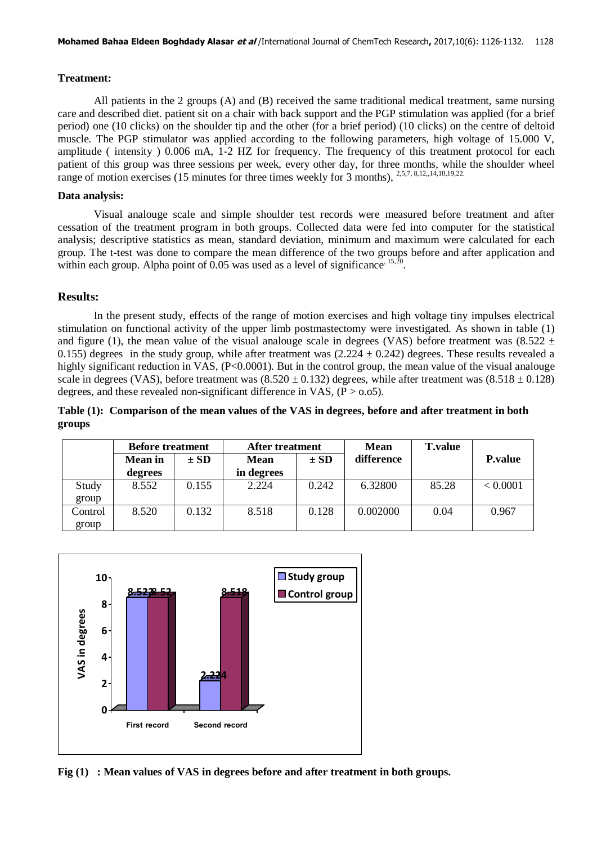#### **Treatment:**

All patients in the 2 groups (A) and (B) received the same traditional medical treatment, same nursing care and described diet. patient sit on a chair with back support and the PGP stimulation was applied (for a brief period) one (10 clicks) on the shoulder tip and the other (for a brief period) (10 clicks) on the centre of deltoid muscle. The PGP stimulator was applied according to the following parameters, high voltage of 15.000 V, amplitude ( intensity ) 0.006 mA, 1-2 HZ for frequency. The frequency of this treatment protocol for each patient of this group was three sessions per week, every other day, for three months, while the shoulder wheel range of motion exercises (15 minutes for three times weekly for 3 months),  $2,5,7,8,12,14,18,19,22$ .

#### **Data analysis:**

Visual analouge scale and simple shoulder test records were measured before treatment and after cessation of the treatment program in both groups. Collected data were fed into computer for the statistical analysis; descriptive statistics as mean, standard deviation, minimum and maximum were calculated for each group. The t-test was done to compare the mean difference of the two groups before and after application and within each group. Alpha point of  $0.05$  was used as a level of significance<sup>, 15,20</sup>.

## **Results:**

In the present study, effects of the range of motion exercises and high voltage tiny impulses electrical stimulation on functional activity of the upper limb postmastectomy were investigated. As shown in table (1) and figure (1), the mean value of the visual analouge scale in degrees (VAS) before treatment was (8.522  $\pm$ 0.155) degrees in the study group, while after treatment was  $(2.224 \pm 0.242)$  degrees. These results revealed a highly significant reduction in VAS, (P<0.0001). But in the control group, the mean value of the visual analouge scale in degrees (VAS), before treatment was  $(8.520 \pm 0.132)$  degrees, while after treatment was  $(8.518 \pm 0.128)$ degrees, and these revealed non-significant difference in VAS,  $(P > 0.05)$ .

# **Table (1): Comparison of the mean values of the VAS in degrees, before and after treatment in both groups**

|         | <b>Before treatment</b> |          | After treatment |          | <b>Mean</b> | <b>T</b> .value |                 |
|---------|-------------------------|----------|-----------------|----------|-------------|-----------------|-----------------|
|         | <b>Mean</b> in          | $\pm$ SD | <b>Mean</b>     | $\pm SD$ | difference  |                 | <b>P</b> .value |
|         | degrees                 |          | in degrees      |          |             |                 |                 |
| Study   | 8.552                   | 0.155    | 2.224           | 0.242    | 6.32800     | 85.28           | < 0.0001        |
| group   |                         |          |                 |          |             |                 |                 |
| Control | 8.520                   | 0.132    | 8.518           | 0.128    | 0.002000    | 0.04            | 0.967           |
| group   |                         |          |                 |          |             |                 |                 |



**Fig (1) : Mean values of VAS in degrees before and after treatment in both groups.**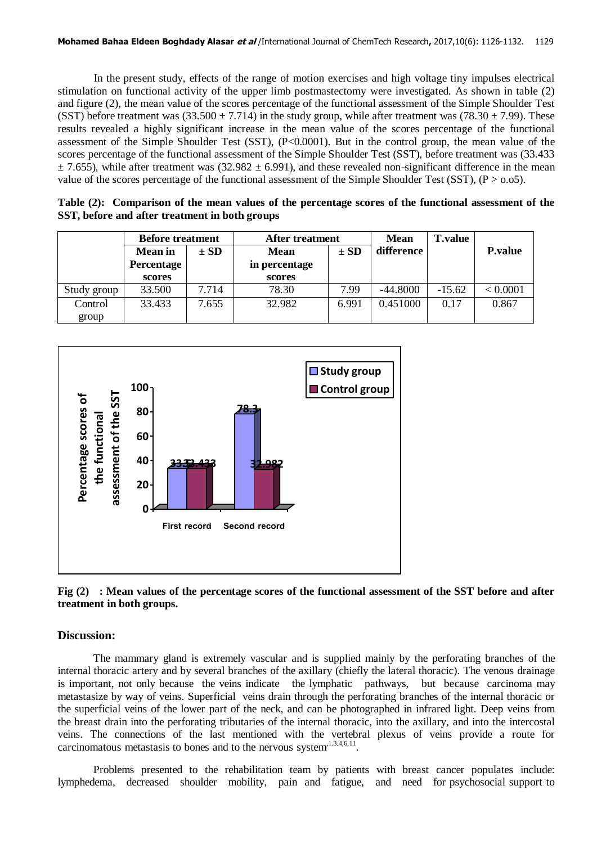In the present study, effects of the range of motion exercises and high voltage tiny impulses electrical stimulation on functional activity of the upper limb postmastectomy were investigated. As shown in table (2) and figure (2), the mean value of the scores percentage of the functional assessment of the Simple Shoulder Test (SST) before treatment was  $(33.500 \pm 7.714)$  in the study group, while after treatment was  $(78.30 \pm 7.99)$ . These results revealed a highly significant increase in the mean value of the scores percentage of the functional assessment of the Simple Shoulder Test (SST), (P<0.0001). But in the control group, the mean value of the scores percentage of the functional assessment of the Simple Shoulder Test (SST), before treatment was (33.433  $\pm$  7.655), while after treatment was (32.982  $\pm$  6.991), and these revealed non-significant difference in the mean value of the scores percentage of the functional assessment of the Simple Shoulder Test (SST),  $(P > 0.05)$ .

| Table (2): Comparison of the mean values of the percentage scores of the functional assessment of the |  |  |  |
|-------------------------------------------------------------------------------------------------------|--|--|--|
| SST, before and after treatment in both groups                                                        |  |  |  |

|             | <b>Before treatment</b> |          | <b>After treatment</b> |          | <b>Mean</b> | <b>T.value</b> |                 |
|-------------|-------------------------|----------|------------------------|----------|-------------|----------------|-----------------|
|             | <b>Mean</b> in          | $\pm$ SD | <b>Mean</b>            | $\pm$ SD | difference  |                | <b>P</b> .value |
|             | Percentage              |          | in percentage          |          |             |                |                 |
|             | scores                  |          | scores                 |          |             |                |                 |
| Study group | 33.500                  | 7.714    | 78.30                  | 7.99     | $-44.8000$  | $-15.62$       | < 0.0001        |
| Control     | 33.433                  | 7.655    | 32.982                 | 6.991    | 0.451000    | 0.17           | 0.867           |
| group       |                         |          |                        |          |             |                |                 |



**Fig (2) : Mean values of the percentage scores of the functional assessment of the SST before and after treatment in both groups.**

## **Discussion:**

The mammary gland is extremely vascular and is supplied mainly by the perforating branches of the internal thoracic artery and by several branches of the axillary (chiefly the lateral thoracic). The venous drainage is important, not only because the veins indicate the lymphatic pathways, but because carcinoma may metastasize by way of veins. Superficial veins drain through the perforating branches of the internal thoracic or the superficial veins of the lower part of the neck, and can be photographed in infrared light. Deep veins from the breast drain into the perforating tributaries of the internal thoracic, into the axillary, and into the intercostal veins. The connections of the last mentioned with the vertebral plexus of veins provide a route for carcinomatous metastasis to bones and to the nervous system $1,3.4,6,11$ .

Problems presented to the rehabilitation team by patients with breast cancer populates include: lymphedema, decreased shoulder mobility, pain and fatigue, and need for psychosocial support to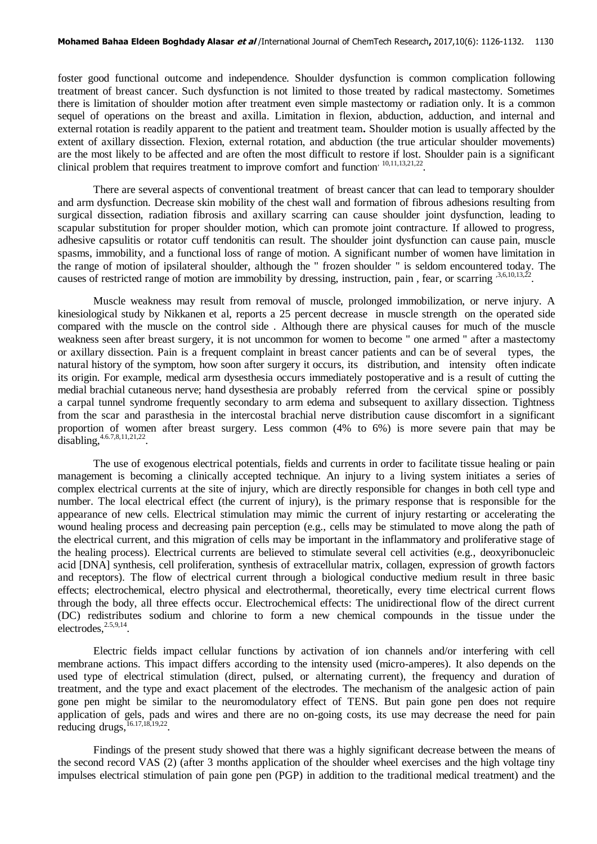foster good functional outcome and independence. Shoulder dysfunction is common complication following treatment of breast cancer. Such dysfunction is not limited to those treated by radical mastectomy. Sometimes there is limitation of shoulder motion after treatment even simple mastectomy or radiation only. It is a common sequel of operations on the breast and axilla. Limitation in flexion, abduction, adduction, and internal and external rotation is readily apparent to the patient and treatment team**.** Shoulder motion is usually affected by the extent of axillary dissection. Flexion, external rotation, and abduction (the true articular shoulder movements) are the most likely to be affected and are often the most difficult to restore if lost. Shoulder pain is a significant clinical problem that requires treatment to improve comfort and function<sup>, 10,11,13,21,22</sup>.

There are several aspects of conventional treatment of breast cancer that can lead to temporary shoulder and arm dysfunction. Decrease skin mobility of the chest wall and formation of fibrous adhesions resulting from surgical dissection, radiation fibrosis and axillary scarring can cause shoulder joint dysfunction, leading to scapular substitution for proper shoulder motion, which can promote joint contracture. If allowed to progress, adhesive capsulitis or rotator cuff tendonitis can result. The shoulder joint dysfunction can cause pain, muscle spasms, immobility, and a functional loss of range of motion. A significant number of women have limitation in the range of motion of ipsilateral shoulder, although the " frozen shoulder " is seldom encountered today. The causes of restricted range of motion are immobility by dressing, instruction, pain, fear, or scarring <sup>3,6,10,13,22</sup>.

Muscle weakness may result from removal of muscle, prolonged immobilization, or nerve injury. A kinesiological study by Nikkanen et al, reports a 25 percent decrease in muscle strength on the operated side compared with the muscle on the control side . Although there are physical causes for much of the muscle weakness seen after breast surgery, it is not uncommon for women to become " one armed " after a mastectomy or axillary dissection. Pain is a frequent complaint in breast cancer patients and can be of several types, the natural history of the symptom, how soon after surgery it occurs, its distribution, and intensity often indicate its origin. For example, medical arm dysesthesia occurs immediately postoperative and is a result of cutting the medial brachial cutaneous nerve; hand dysesthesia are probably referred from the cervical spine or possibly a carpal tunnel syndrome frequently secondary to arm edema and subsequent to axillary dissection. Tightness from the scar and parasthesia in the intercostal brachial nerve distribution cause discomfort in a significant proportion of women after breast surgery. Less common (4% to 6%) is more severe pain that may be disabling,  $4.6.7, 8, 11, 21, 22$ .

The use of exogenous electrical potentials, fields and currents in order to facilitate tissue healing or pain management is becoming a clinically accepted technique. An injury to a living system initiates a series of complex electrical currents at the site of injury, which are directly responsible for changes in both cell type and number. The local electrical effect (the current of injury), is the primary response that is responsible for the appearance of new cells. Electrical stimulation may mimic the current of injury restarting or accelerating the wound healing process and decreasing pain perception (e.g., cells may be stimulated to move along the path of the electrical current, and this migration of cells may be important in the inflammatory and proliferative stage of the healing process). Electrical currents are believed to stimulate several cell activities (e.g., deoxyribonucleic acid [DNA] synthesis, cell proliferation, synthesis of extracellular matrix, collagen, expression of growth factors and receptors). The flow of electrical current through a biological conductive medium result in three basic effects; electrochemical, electro physical and electrothermal, theoretically, every time electrical current flows through the body, all three effects occur. Electrochemical effects: The unidirectional flow of the direct current (DC) redistributes sodium and chlorine to form a new chemical compounds in the tissue under the  $electrodes, <sup>2.5,9,14</sup>$ .

Electric fields impact cellular functions by activation of ion channels and/or interfering with cell membrane actions. This impact differs according to the intensity used (micro-amperes). It also depends on the used type of electrical stimulation (direct, pulsed, or alternating current), the frequency and duration of treatment, and the type and exact placement of the electrodes. The mechanism of the analgesic action of pain gone pen might be similar to the neuromodulatory effect of TENS. But pain gone pen does not require application of gels, pads and wires and there are no on-going costs, its use may decrease the need for pain reducing drugs,  $^{16.17,18,19,22}$ .

Findings of the present study showed that there was a highly significant decrease between the means of the second record VAS (2) (after 3 months application of the shoulder wheel exercises and the high voltage tiny impulses electrical stimulation of pain gone pen (PGP) in addition to the traditional medical treatment) and the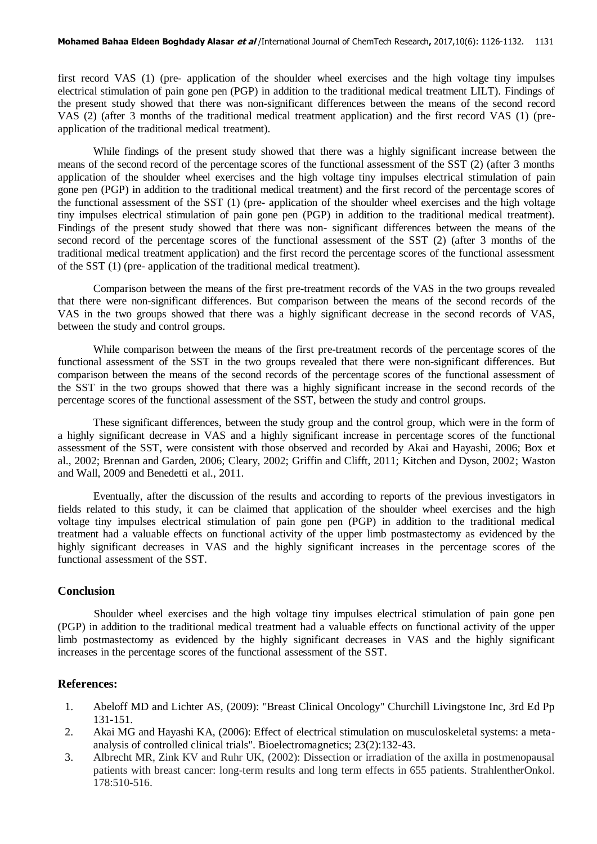first record VAS (1) (pre- application of the shoulder wheel exercises and the high voltage tiny impulses electrical stimulation of pain gone pen (PGP) in addition to the traditional medical treatment LILT). Findings of the present study showed that there was non-significant differences between the means of the second record VAS (2) (after 3 months of the traditional medical treatment application) and the first record VAS (1) (preapplication of the traditional medical treatment).

While findings of the present study showed that there was a highly significant increase between the means of the second record of the percentage scores of the functional assessment of the SST (2) (after 3 months application of the shoulder wheel exercises and the high voltage tiny impulses electrical stimulation of pain gone pen (PGP) in addition to the traditional medical treatment) and the first record of the percentage scores of the functional assessment of the SST (1) (pre- application of the shoulder wheel exercises and the high voltage tiny impulses electrical stimulation of pain gone pen (PGP) in addition to the traditional medical treatment). Findings of the present study showed that there was non- significant differences between the means of the second record of the percentage scores of the functional assessment of the SST (2) (after 3 months of the traditional medical treatment application) and the first record the percentage scores of the functional assessment of the SST (1) (pre- application of the traditional medical treatment).

Comparison between the means of the first pre-treatment records of the VAS in the two groups revealed that there were non-significant differences. But comparison between the means of the second records of the VAS in the two groups showed that there was a highly significant decrease in the second records of VAS, between the study and control groups.

While comparison between the means of the first pre-treatment records of the percentage scores of the functional assessment of the SST in the two groups revealed that there were non-significant differences. But comparison between the means of the second records of the percentage scores of the functional assessment of the SST in the two groups showed that there was a highly significant increase in the second records of the percentage scores of the functional assessment of the SST, between the study and control groups.

These significant differences, between the study group and the control group, which were in the form of a highly significant decrease in VAS and a highly significant increase in percentage scores of the functional assessment of the SST, were consistent with those observed and recorded by Akai and Hayashi, 2006; Box et al., 2002; Brennan and Garden, 2006; Cleary, 2002; Griffin and Clifft, 2011; Kitchen and Dyson, 2002; Waston and Wall, 2009 and Benedetti et al., 2011.

Eventually, after the discussion of the results and according to reports of the previous investigators in fields related to this study, it can be claimed that application of the shoulder wheel exercises and the high voltage tiny impulses electrical stimulation of pain gone pen (PGP) in addition to the traditional medical treatment had a valuable effects on functional activity of the upper limb postmastectomy as evidenced by the highly significant decreases in VAS and the highly significant increases in the percentage scores of the functional assessment of the SST.

## **Conclusion**

Shoulder wheel exercises and the high voltage tiny impulses electrical stimulation of pain gone pen (PGP) in addition to the traditional medical treatment had a valuable effects on functional activity of the upper limb postmastectomy as evidenced by the highly significant decreases in VAS and the highly significant increases in the percentage scores of the functional assessment of the SST.

## **References:**

- 1. Abeloff MD and Lichter AS, (2009): "Breast Clinical Oncology" Churchill Livingstone Inc, 3rd Ed Pp 131-151.
- 2. Akai MG and Hayashi KA, (2006): Effect of electrical stimulation on musculoskeletal systems: a metaanalysis of controlled clinical trials". Bioelectromagnetics; 23(2):132-43.
- 3. Albrecht MR, Zink KV and Ruhr UK, (2002): Dissection or irradiation of the axilla in postmenopausal patients with breast cancer: long-term results and long term effects in 655 patients. StrahlentherOnkol. 178:510-516.